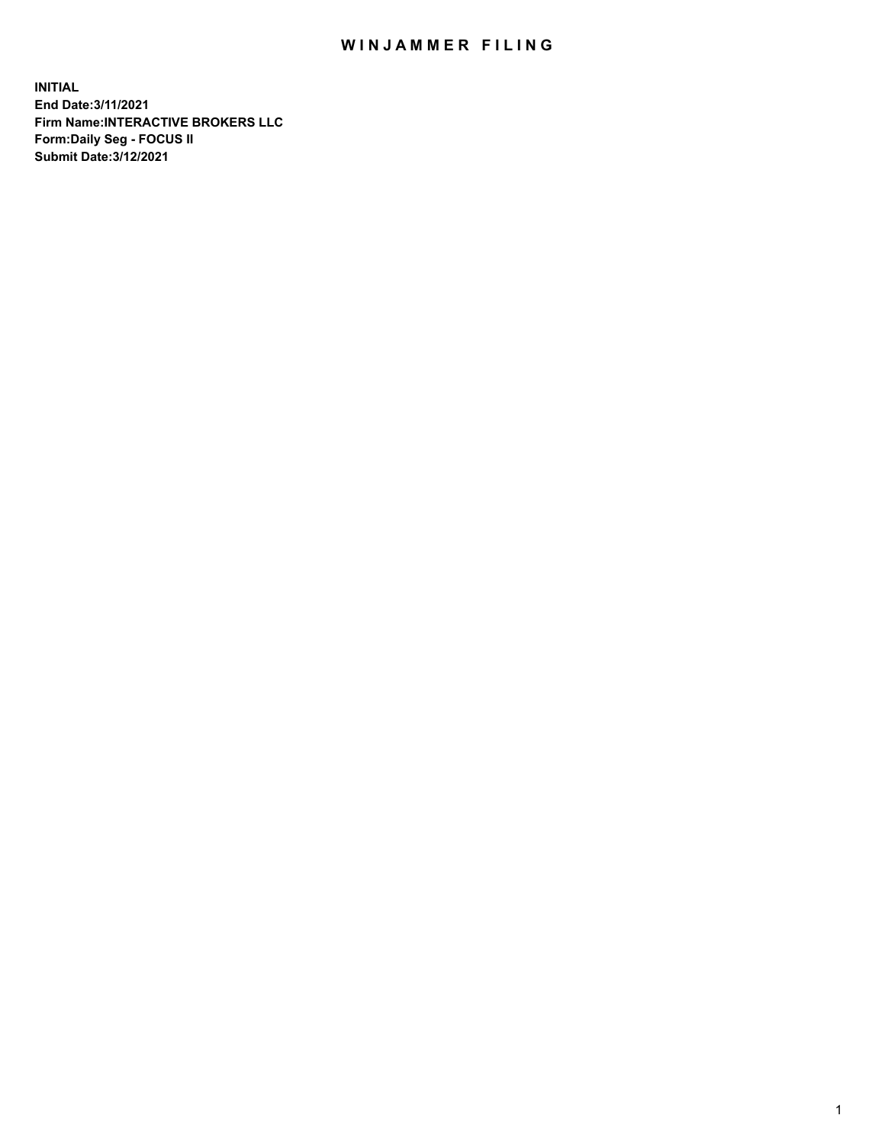## WIN JAMMER FILING

**INITIAL End Date:3/11/2021 Firm Name:INTERACTIVE BROKERS LLC Form:Daily Seg - FOCUS II Submit Date:3/12/2021**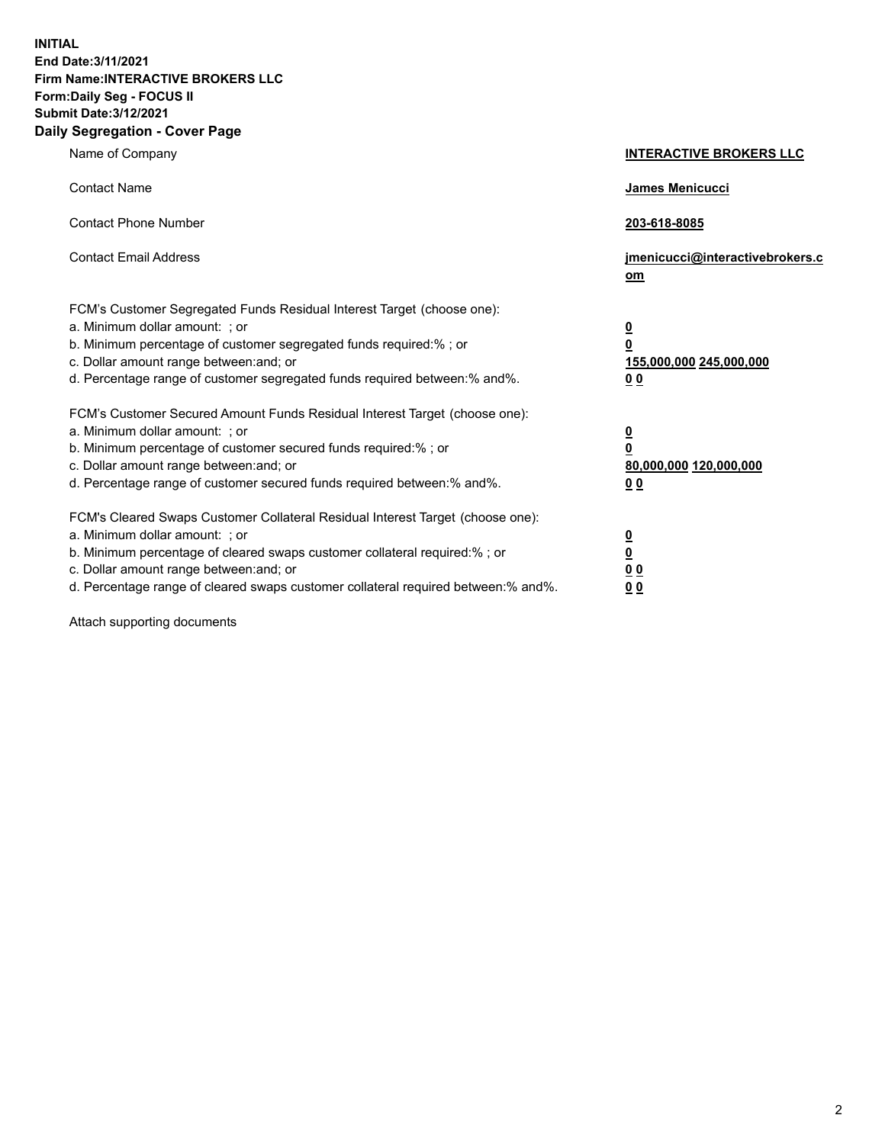**INITIAL End Date:3/11/2021 Firm Name:INTERACTIVE BROKERS LLC Form:Daily Seg - FOCUS II Submit Date:3/12/2021 Daily Segregation - Cover Page**

| Name of Company                                                                                                                                                                                                                                                                                                                | <b>INTERACTIVE BROKERS LLC</b>                                                                  |
|--------------------------------------------------------------------------------------------------------------------------------------------------------------------------------------------------------------------------------------------------------------------------------------------------------------------------------|-------------------------------------------------------------------------------------------------|
| <b>Contact Name</b>                                                                                                                                                                                                                                                                                                            | James Menicucci                                                                                 |
| <b>Contact Phone Number</b>                                                                                                                                                                                                                                                                                                    | 203-618-8085                                                                                    |
| <b>Contact Email Address</b>                                                                                                                                                                                                                                                                                                   | jmenicucci@interactivebrokers.c<br>$om$                                                         |
| FCM's Customer Segregated Funds Residual Interest Target (choose one):<br>a. Minimum dollar amount: ; or<br>b. Minimum percentage of customer segregated funds required:% ; or<br>c. Dollar amount range between: and; or<br>d. Percentage range of customer segregated funds required between:% and%.                         | $\overline{\mathbf{0}}$<br>$\overline{\mathbf{0}}$<br>155,000,000 245,000,000<br>0 <sub>0</sub> |
| FCM's Customer Secured Amount Funds Residual Interest Target (choose one):<br>a. Minimum dollar amount: ; or<br>b. Minimum percentage of customer secured funds required:%; or<br>c. Dollar amount range between: and; or<br>d. Percentage range of customer secured funds required between:% and%.                            | $\overline{\mathbf{0}}$<br>$\overline{\mathbf{0}}$<br>80,000,000 120,000,000<br>0 <sub>0</sub>  |
| FCM's Cleared Swaps Customer Collateral Residual Interest Target (choose one):<br>a. Minimum dollar amount: ; or<br>b. Minimum percentage of cleared swaps customer collateral required:% ; or<br>c. Dollar amount range between: and; or<br>d. Percentage range of cleared swaps customer collateral required between:% and%. | $\overline{\mathbf{0}}$<br><u>0</u><br>0 <sub>0</sub><br>0 <sub>0</sub>                         |

Attach supporting documents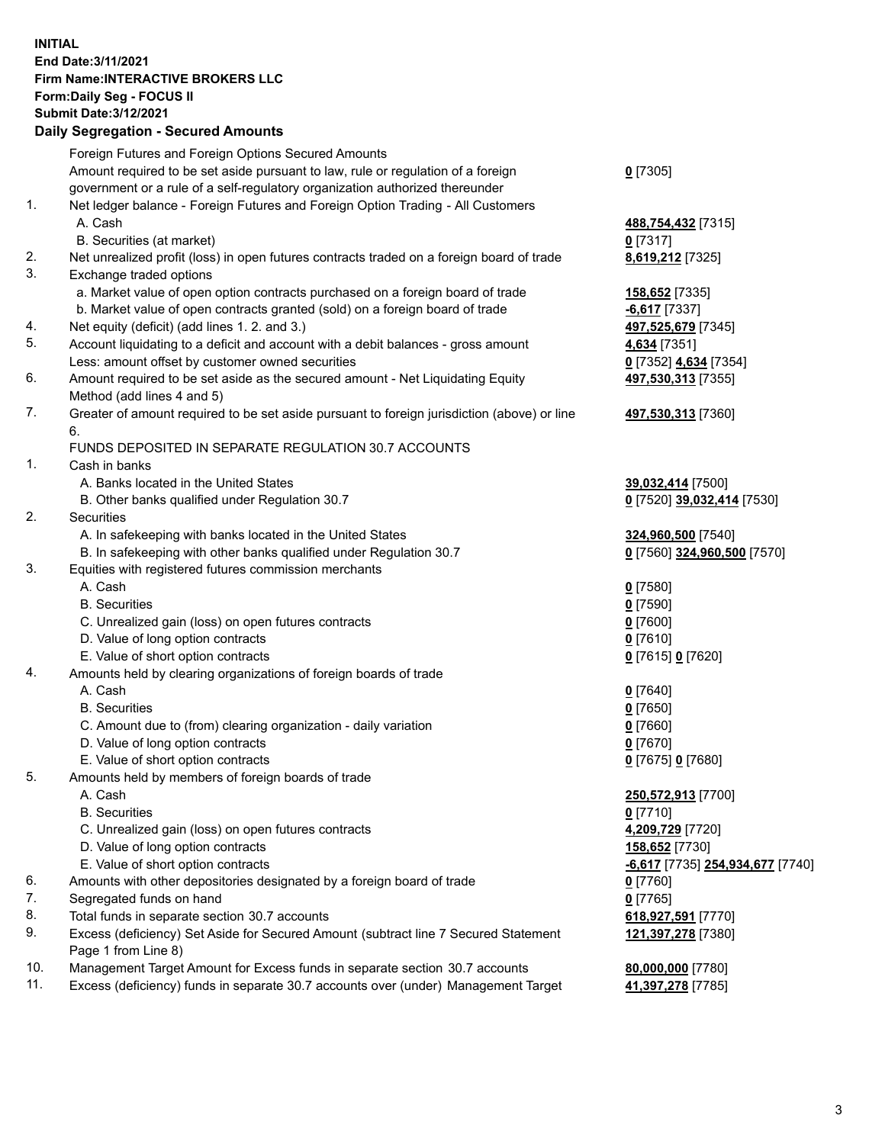## **INITIAL End Date:3/11/2021 Firm Name:INTERACTIVE BROKERS LLC Form:Daily Seg - FOCUS II Submit Date:3/12/2021 Daily Segregation - Secured Amounts**

|     | Daily Segregation - Secured Amounts                                                         |                                  |
|-----|---------------------------------------------------------------------------------------------|----------------------------------|
|     | Foreign Futures and Foreign Options Secured Amounts                                         |                                  |
|     | Amount required to be set aside pursuant to law, rule or regulation of a foreign            | $0$ [7305]                       |
|     | government or a rule of a self-regulatory organization authorized thereunder                |                                  |
| 1.  | Net ledger balance - Foreign Futures and Foreign Option Trading - All Customers             |                                  |
|     | A. Cash                                                                                     | 488,754,432 [7315]               |
|     | B. Securities (at market)                                                                   | $0$ [7317]                       |
| 2.  | Net unrealized profit (loss) in open futures contracts traded on a foreign board of trade   | 8,619,212 [7325]                 |
| 3.  | Exchange traded options                                                                     |                                  |
|     | a. Market value of open option contracts purchased on a foreign board of trade              | 158,652 [7335]                   |
|     | b. Market value of open contracts granted (sold) on a foreign board of trade                | $-6,617$ [7337]                  |
| 4.  | Net equity (deficit) (add lines 1. 2. and 3.)                                               | 497,525,679 [7345]               |
| 5.  | Account liquidating to a deficit and account with a debit balances - gross amount           | 4,634 [7351]                     |
|     | Less: amount offset by customer owned securities                                            | 0 [7352] 4,634 [7354]            |
| 6.  | Amount required to be set aside as the secured amount - Net Liquidating Equity              | 497,530,313 [7355]               |
|     | Method (add lines 4 and 5)                                                                  |                                  |
| 7.  | Greater of amount required to be set aside pursuant to foreign jurisdiction (above) or line | 497,530,313 [7360]               |
|     | 6.                                                                                          |                                  |
|     | FUNDS DEPOSITED IN SEPARATE REGULATION 30.7 ACCOUNTS                                        |                                  |
| 1.  | Cash in banks                                                                               |                                  |
|     |                                                                                             |                                  |
|     | A. Banks located in the United States                                                       | 39,032,414 [7500]                |
| 2.  | B. Other banks qualified under Regulation 30.7                                              | 0 [7520] 39,032,414 [7530]       |
|     | Securities                                                                                  |                                  |
|     | A. In safekeeping with banks located in the United States                                   | 324,960,500 [7540]               |
| 3.  | B. In safekeeping with other banks qualified under Regulation 30.7                          | 0 [7560] 324,960,500 [7570]      |
|     | Equities with registered futures commission merchants<br>A. Cash                            |                                  |
|     |                                                                                             | $0$ [7580]                       |
|     | <b>B.</b> Securities                                                                        | $0$ [7590]                       |
|     | C. Unrealized gain (loss) on open futures contracts                                         | $0$ [7600]                       |
|     | D. Value of long option contracts                                                           | $0$ [7610]                       |
|     | E. Value of short option contracts                                                          | 0 [7615] 0 [7620]                |
| 4.  | Amounts held by clearing organizations of foreign boards of trade                           |                                  |
|     | A. Cash                                                                                     | $0$ [7640]                       |
|     | <b>B.</b> Securities                                                                        | $0$ [7650]                       |
|     | C. Amount due to (from) clearing organization - daily variation                             | $0$ [7660]                       |
|     | D. Value of long option contracts                                                           | $0$ [7670]                       |
|     | E. Value of short option contracts                                                          | 0 [7675] 0 [7680]                |
| 5.  | Amounts held by members of foreign boards of trade                                          |                                  |
|     | A. Cash                                                                                     | 250,572,913 [7700]               |
|     | <b>B.</b> Securities                                                                        | $0$ [7710]                       |
|     | C. Unrealized gain (loss) on open futures contracts                                         | 4,209,729 [7720]                 |
|     | D. Value of long option contracts                                                           | <b>158,652</b> [7730]            |
|     | E. Value of short option contracts                                                          | -6,617 [7735] 254,934,677 [7740] |
| 6.  | Amounts with other depositories designated by a foreign board of trade                      | 0 [7760]                         |
| 7.  | Segregated funds on hand                                                                    | $0$ [7765]                       |
| 8.  | Total funds in separate section 30.7 accounts                                               | 618,927,591 [7770]               |
| 9.  | Excess (deficiency) Set Aside for Secured Amount (subtract line 7 Secured Statement         | 121,397,278 [7380]               |
|     | Page 1 from Line 8)                                                                         |                                  |
| 10. | Management Target Amount for Excess funds in separate section 30.7 accounts                 | 80,000,000 [7780]                |
| 11. | Excess (deficiency) funds in separate 30.7 accounts over (under) Management Target          | 41,397,278 [7785]                |
|     |                                                                                             |                                  |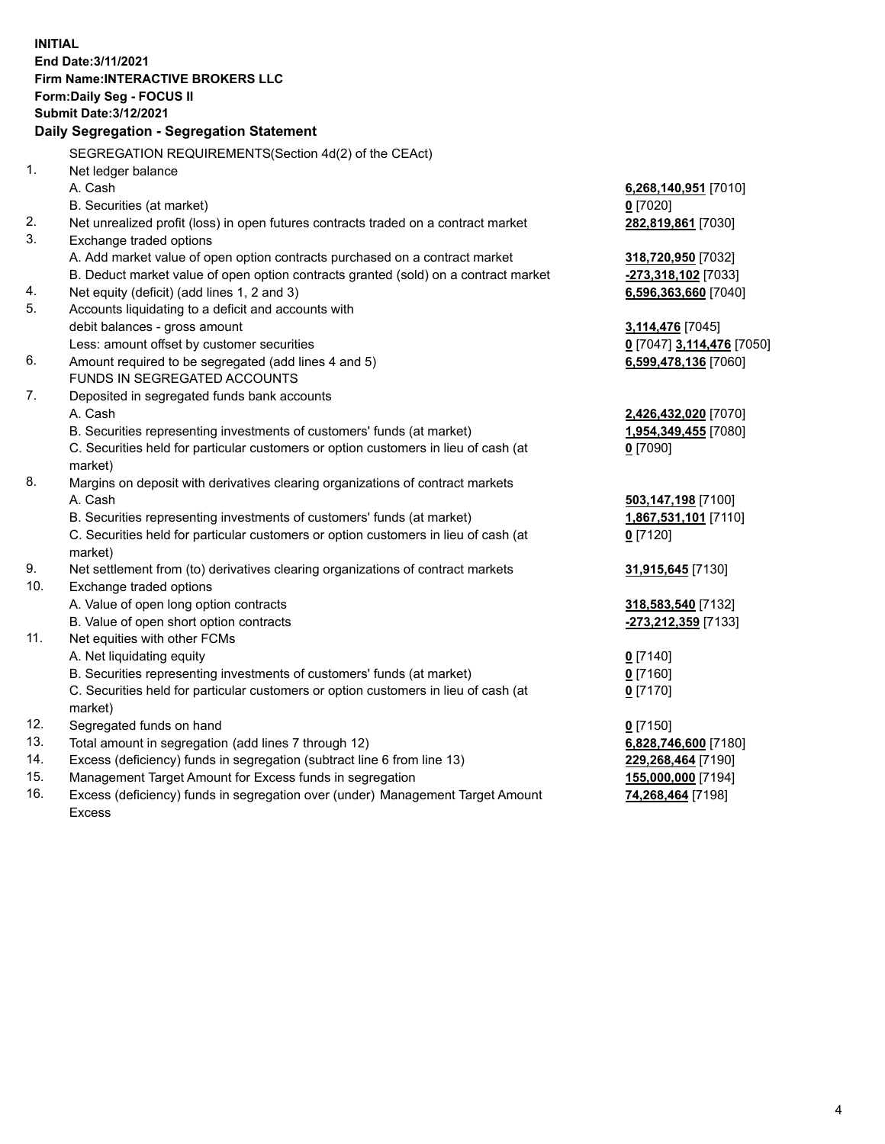**INITIAL End Date:3/11/2021 Firm Name:INTERACTIVE BROKERS LLC Form:Daily Seg - FOCUS II Submit Date:3/12/2021 Daily Segregation - Segregation Statement** SEGREGATION REQUIREMENTS(Section 4d(2) of the CEAct) 1. Net ledger balance A. Cash **6,268,140,951** [7010] B. Securities (at market) **0** [7020] 2. Net unrealized profit (loss) in open futures contracts traded on a contract market **282,819,861** [7030] 3. Exchange traded options A. Add market value of open option contracts purchased on a contract market **318,720,950** [7032] B. Deduct market value of open option contracts granted (sold) on a contract market **-273,318,102** [7033] 4. Net equity (deficit) (add lines 1, 2 and 3) **6,596,363,660** [7040] 5. Accounts liquidating to a deficit and accounts with debit balances - gross amount **3,114,476** [7045] Less: amount offset by customer securities **0** [7047] **3,114,476** [7050] 6. Amount required to be segregated (add lines 4 and 5) **6,599,478,136** [7060] FUNDS IN SEGREGATED ACCOUNTS 7. Deposited in segregated funds bank accounts A. Cash **2,426,432,020** [7070] B. Securities representing investments of customers' funds (at market) **1,954,349,455** [7080] C. Securities held for particular customers or option customers in lieu of cash (at market) **0** [7090] 8. Margins on deposit with derivatives clearing organizations of contract markets A. Cash **503,147,198** [7100] B. Securities representing investments of customers' funds (at market) **1,867,531,101** [7110] C. Securities held for particular customers or option customers in lieu of cash (at market) **0** [7120] 9. Net settlement from (to) derivatives clearing organizations of contract markets **31,915,645** [7130] 10. Exchange traded options A. Value of open long option contracts **318,583,540** [7132] B. Value of open short option contracts **-273,212,359** [7133] 11. Net equities with other FCMs A. Net liquidating equity **0** [7140] B. Securities representing investments of customers' funds (at market) **0** [7160] C. Securities held for particular customers or option customers in lieu of cash (at market) **0** [7170] 12. Segregated funds on hand **0** [7150] 13. Total amount in segregation (add lines 7 through 12) **6,828,746,600** [7180] 14. Excess (deficiency) funds in segregation (subtract line 6 from line 13) **229,268,464** [7190] 15. Management Target Amount for Excess funds in segregation **155,000,000** [7194]

16. Excess (deficiency) funds in segregation over (under) Management Target Amount Excess

**74,268,464** [7198]